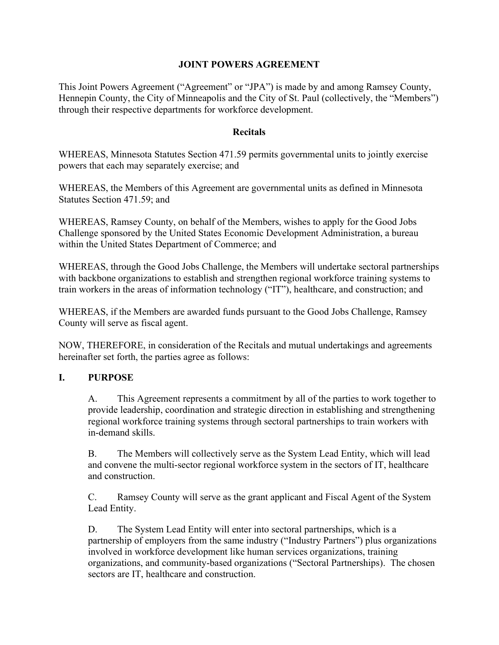#### JOINT POWERS AGREEMENT

This Joint Powers Agreement ("Agreement" or "JPA") is made by and among Ramsey County, Hennepin County, the City of Minneapolis and the City of St. Paul (collectively, the "Members") through their respective departments for workforce development.

#### **Recitals**

WHEREAS, Minnesota Statutes Section 471.59 permits governmental units to jointly exercise powers that each may separately exercise; and

WHEREAS, the Members of this Agreement are governmental units as defined in Minnesota Statutes Section 471.59; and

WHEREAS, Ramsey County, on behalf of the Members, wishes to apply for the Good Jobs Challenge sponsored by the United States Economic Development Administration, a bureau within the United States Department of Commerce; and

WHEREAS, through the Good Jobs Challenge, the Members will undertake sectoral partnerships with backbone organizations to establish and strengthen regional workforce training systems to train workers in the areas of information technology ("IT"), healthcare, and construction; and

WHEREAS, if the Members are awarded funds pursuant to the Good Jobs Challenge, Ramsey County will serve as fiscal agent.

NOW, THEREFORE, in consideration of the Recitals and mutual undertakings and agreements hereinafter set forth, the parties agree as follows:

### I. PURPOSE

A. This Agreement represents a commitment by all of the parties to work together to provide leadership, coordination and strategic direction in establishing and strengthening regional workforce training systems through sectoral partnerships to train workers with in-demand skills.

B. The Members will collectively serve as the System Lead Entity, which will lead and convene the multi-sector regional workforce system in the sectors of IT, healthcare and construction.

C. Ramsey County will serve as the grant applicant and Fiscal Agent of the System Lead Entity.

D. The System Lead Entity will enter into sectoral partnerships, which is a partnership of employers from the same industry ("Industry Partners") plus organizations involved in workforce development like human services organizations, training organizations, and community-based organizations ("Sectoral Partnerships). The chosen sectors are IT, healthcare and construction.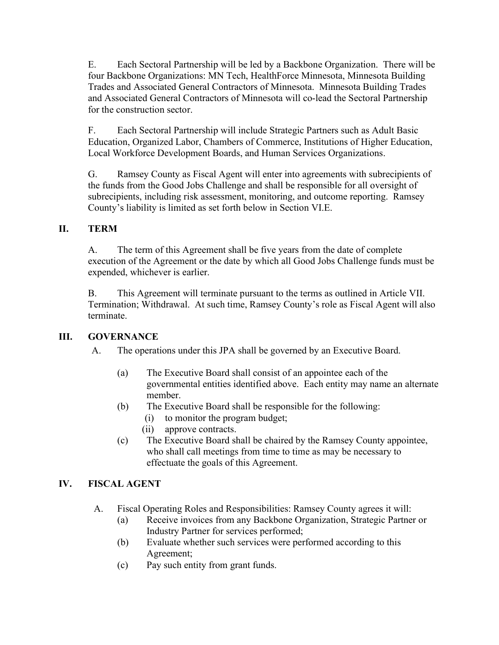E. Each Sectoral Partnership will be led by a Backbone Organization. There will be four Backbone Organizations: MN Tech, HealthForce Minnesota, Minnesota Building Trades and Associated General Contractors of Minnesota. Minnesota Building Trades and Associated General Contractors of Minnesota will co-lead the Sectoral Partnership for the construction sector.

F. Each Sectoral Partnership will include Strategic Partners such as Adult Basic Education, Organized Labor, Chambers of Commerce, Institutions of Higher Education, Local Workforce Development Boards, and Human Services Organizations.

G. Ramsey County as Fiscal Agent will enter into agreements with subrecipients of the funds from the Good Jobs Challenge and shall be responsible for all oversight of subrecipients, including risk assessment, monitoring, and outcome reporting. Ramsey County's liability is limited as set forth below in Section VI.E.

## II. TERM

A. The term of this Agreement shall be five years from the date of complete execution of the Agreement or the date by which all Good Jobs Challenge funds must be expended, whichever is earlier.

B. This Agreement will terminate pursuant to the terms as outlined in Article VII. Termination; Withdrawal. At such time, Ramsey County's role as Fiscal Agent will also terminate.

### III. GOVERNANCE

- A. The operations under this JPA shall be governed by an Executive Board.
	- (a) The Executive Board shall consist of an appointee each of the governmental entities identified above. Each entity may name an alternate member.
	- (b) The Executive Board shall be responsible for the following:
		- (i) to monitor the program budget;
		- (ii) approve contracts.
	- (c) The Executive Board shall be chaired by the Ramsey County appointee, who shall call meetings from time to time as may be necessary to effectuate the goals of this Agreement.

# IV. FISCAL AGENT

- A. Fiscal Operating Roles and Responsibilities: Ramsey County agrees it will:
	- (a) Receive invoices from any Backbone Organization, Strategic Partner or Industry Partner for services performed;
	- (b) Evaluate whether such services were performed according to this Agreement;
	- (c) Pay such entity from grant funds.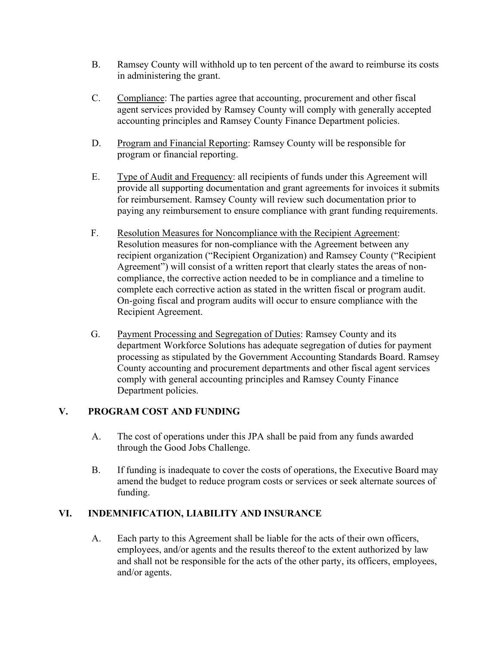- B. Ramsey County will withhold up to ten percent of the award to reimburse its costs in administering the grant.
- C. Compliance: The parties agree that accounting, procurement and other fiscal agent services provided by Ramsey County will comply with generally accepted accounting principles and Ramsey County Finance Department policies.
- D. Program and Financial Reporting: Ramsey County will be responsible for program or financial reporting.
- E. Type of Audit and Frequency: all recipients of funds under this Agreement will provide all supporting documentation and grant agreements for invoices it submits for reimbursement. Ramsey County will review such documentation prior to paying any reimbursement to ensure compliance with grant funding requirements.
- F. Resolution Measures for Noncompliance with the Recipient Agreement: Resolution measures for non-compliance with the Agreement between any recipient organization ("Recipient Organization) and Ramsey County ("Recipient Agreement") will consist of a written report that clearly states the areas of noncompliance, the corrective action needed to be in compliance and a timeline to complete each corrective action as stated in the written fiscal or program audit. On-going fiscal and program audits will occur to ensure compliance with the Recipient Agreement.
- G. Payment Processing and Segregation of Duties: Ramsey County and its department Workforce Solutions has adequate segregation of duties for payment processing as stipulated by the Government Accounting Standards Board. Ramsey County accounting and procurement departments and other fiscal agent services comply with general accounting principles and Ramsey County Finance Department policies.

### V. PROGRAM COST AND FUNDING

- A. The cost of operations under this JPA shall be paid from any funds awarded through the Good Jobs Challenge.
- B. If funding is inadequate to cover the costs of operations, the Executive Board may amend the budget to reduce program costs or services or seek alternate sources of funding.

### VI. INDEMNIFICATION, LIABILITY AND INSURANCE

A. Each party to this Agreement shall be liable for the acts of their own officers, employees, and/or agents and the results thereof to the extent authorized by law and shall not be responsible for the acts of the other party, its officers, employees, and/or agents.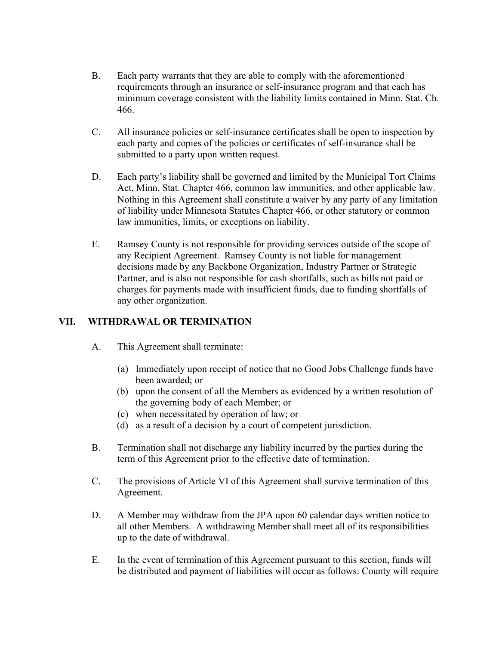- B. Each party warrants that they are able to comply with the aforementioned requirements through an insurance or self-insurance program and that each has minimum coverage consistent with the liability limits contained in Minn. Stat. Ch. 466.
- C. All insurance policies or self-insurance certificates shall be open to inspection by each party and copies of the policies or certificates of self-insurance shall be submitted to a party upon written request.
- D. Each party's liability shall be governed and limited by the Municipal Tort Claims Act, Minn. Stat. Chapter 466, common law immunities, and other applicable law. Nothing in this Agreement shall constitute a waiver by any party of any limitation of liability under Minnesota Statutes Chapter 466, or other statutory or common law immunities, limits, or exceptions on liability.
- E. Ramsey County is not responsible for providing services outside of the scope of any Recipient Agreement. Ramsey County is not liable for management decisions made by any Backbone Organization, Industry Partner or Strategic Partner, and is also not responsible for cash shortfalls, such as bills not paid or charges for payments made with insufficient funds, due to funding shortfalls of any other organization.

# VII. WITHDRAWAL OR TERMINATION

- A. This Agreement shall terminate:
	- (a) Immediately upon receipt of notice that no Good Jobs Challenge funds have been awarded; or
	- (b) upon the consent of all the Members as evidenced by a written resolution of the governing body of each Member; or
	- (c) when necessitated by operation of law; or
	- (d) as a result of a decision by a court of competent jurisdiction.
- B. Termination shall not discharge any liability incurred by the parties during the term of this Agreement prior to the effective date of termination.
- C. The provisions of Article VI of this Agreement shall survive termination of this Agreement.
- D. A Member may withdraw from the JPA upon 60 calendar days written notice to all other Members. A withdrawing Member shall meet all of its responsibilities up to the date of withdrawal.
- E. In the event of termination of this Agreement pursuant to this section, funds will be distributed and payment of liabilities will occur as follows: County will require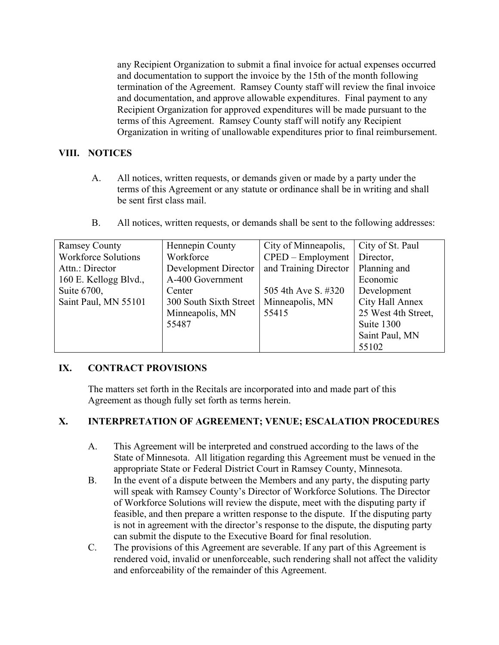any Recipient Organization to submit a final invoice for actual expenses occurred and documentation to support the invoice by the 15th of the month following termination of the Agreement. Ramsey County staff will review the final invoice and documentation, and approve allowable expenditures. Final payment to any Recipient Organization for approved expenditures will be made pursuant to the terms of this Agreement. Ramsey County staff will notify any Recipient Organization in writing of unallowable expenditures prior to final reimbursement.

## VIII. NOTICES

A. All notices, written requests, or demands given or made by a party under the terms of this Agreement or any statute or ordinance shall be in writing and shall be sent first class mail.

| <b>B.</b> |  |  |  |  | All notices, written requests, or demands shall be sent to the following addresses: |
|-----------|--|--|--|--|-------------------------------------------------------------------------------------|
|-----------|--|--|--|--|-------------------------------------------------------------------------------------|

| <b>Ramsey County</b>       | Hennepin County                               | City of Minneapolis,              | City of St. Paul    |
|----------------------------|-----------------------------------------------|-----------------------------------|---------------------|
| <b>Workforce Solutions</b> | Workforce                                     | $\text{CPED} - \text{Employment}$ | Director,           |
| Attn.: Director            | and Training Director<br>Development Director |                                   | Planning and        |
| 160 E. Kellogg Blvd.,      | A-400 Government                              |                                   | Economic            |
| Suite 6700,                | Center                                        | 505 4th Ave S. #320               | Development         |
| Saint Paul, MN 55101       | 300 South Sixth Street                        | Minneapolis, MN                   | City Hall Annex     |
|                            | Minneapolis, MN                               | 55415                             | 25 West 4th Street, |
|                            | 55487                                         |                                   | Suite 1300          |
|                            |                                               |                                   | Saint Paul, MN      |
|                            |                                               |                                   | 55102               |

### IX. CONTRACT PROVISIONS

The matters set forth in the Recitals are incorporated into and made part of this Agreement as though fully set forth as terms herein.

### X. INTERPRETATION OF AGREEMENT; VENUE; ESCALATION PROCEDURES

- A. This Agreement will be interpreted and construed according to the laws of the State of Minnesota. All litigation regarding this Agreement must be venued in the appropriate State or Federal District Court in Ramsey County, Minnesota.
- B. In the event of a dispute between the Members and any party, the disputing party will speak with Ramsey County's Director of Workforce Solutions. The Director of Workforce Solutions will review the dispute, meet with the disputing party if feasible, and then prepare a written response to the dispute. If the disputing party is not in agreement with the director's response to the dispute, the disputing party can submit the dispute to the Executive Board for final resolution.
- C. The provisions of this Agreement are severable. If any part of this Agreement is rendered void, invalid or unenforceable, such rendering shall not affect the validity and enforceability of the remainder of this Agreement.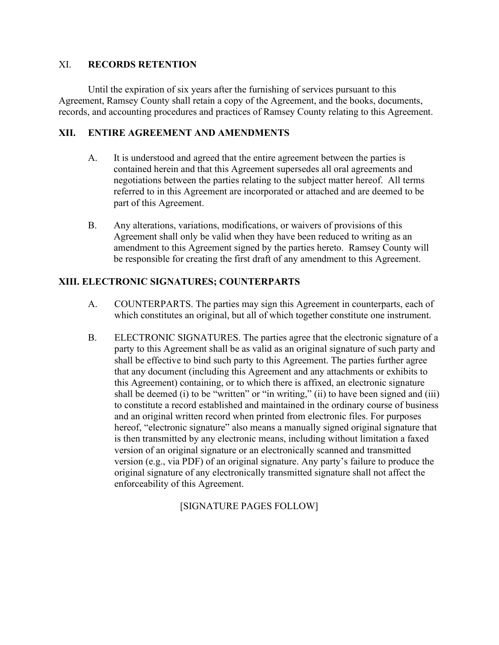#### XI. RECORDS RETENTION

 Until the expiration of six years after the furnishing of services pursuant to this Agreement, Ramsey County shall retain a copy of the Agreement, and the books, documents, records, and accounting procedures and practices of Ramsey County relating to this Agreement.

#### XII. ENTIRE AGREEMENT AND AMENDMENTS

- A. It is understood and agreed that the entire agreement between the parties is contained herein and that this Agreement supersedes all oral agreements and negotiations between the parties relating to the subject matter hereof. All terms referred to in this Agreement are incorporated or attached and are deemed to be part of this Agreement.
- B. Any alterations, variations, modifications, or waivers of provisions of this Agreement shall only be valid when they have been reduced to writing as an amendment to this Agreement signed by the parties hereto. Ramsey County will be responsible for creating the first draft of any amendment to this Agreement.

### XIII. ELECTRONIC SIGNATURES; COUNTERPARTS

- A. COUNTERPARTS. The parties may sign this Agreement in counterparts, each of which constitutes an original, but all of which together constitute one instrument.
- B. ELECTRONIC SIGNATURES. The parties agree that the electronic signature of a party to this Agreement shall be as valid as an original signature of such party and shall be effective to bind such party to this Agreement. The parties further agree that any document (including this Agreement and any attachments or exhibits to this Agreement) containing, or to which there is affixed, an electronic signature shall be deemed (i) to be "written" or "in writing," (ii) to have been signed and (iii) to constitute a record established and maintained in the ordinary course of business and an original written record when printed from electronic files. For purposes hereof, "electronic signature" also means a manually signed original signature that is then transmitted by any electronic means, including without limitation a faxed version of an original signature or an electronically scanned and transmitted version (e.g., via PDF) of an original signature. Any party's failure to produce the original signature of any electronically transmitted signature shall not affect the enforceability of this Agreement.

[SIGNATURE PAGES FOLLOW]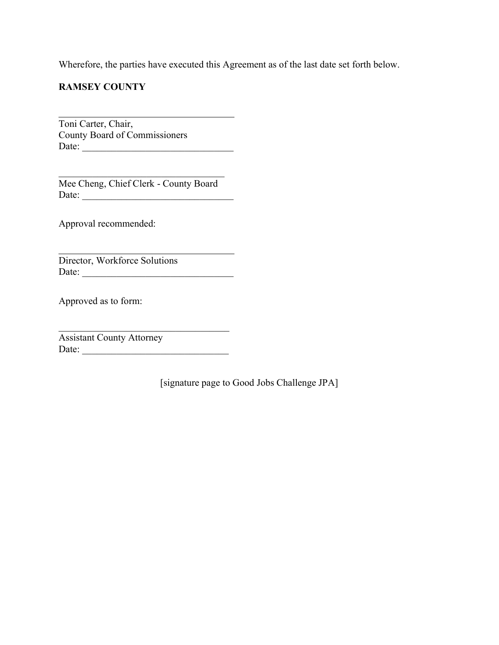Wherefore, the parties have executed this Agreement as of the last date set forth below.

## RAMSEY COUNTY

l Toni Carter, Chair, County Board of Commissioners Date: \_\_\_\_\_\_\_\_\_\_\_\_\_\_\_\_\_\_\_\_\_\_\_\_\_\_\_\_\_\_\_

Mee Cheng, Chief Clerk - County Board Date: \_\_\_\_\_\_\_\_\_\_\_\_\_\_\_\_\_\_\_\_\_\_\_\_\_\_\_\_\_\_\_

Approval recommended:

Director, Workforce Solutions Date: \_\_\_\_\_\_\_\_\_\_\_\_\_\_\_\_\_\_\_\_\_\_\_\_\_\_\_\_\_\_\_

Approved as to form:

l

Assistant County Attorney Date: \_\_\_\_\_\_\_\_\_\_\_\_\_\_\_\_\_\_\_\_\_\_\_\_\_\_\_\_\_\_

[signature page to Good Jobs Challenge JPA]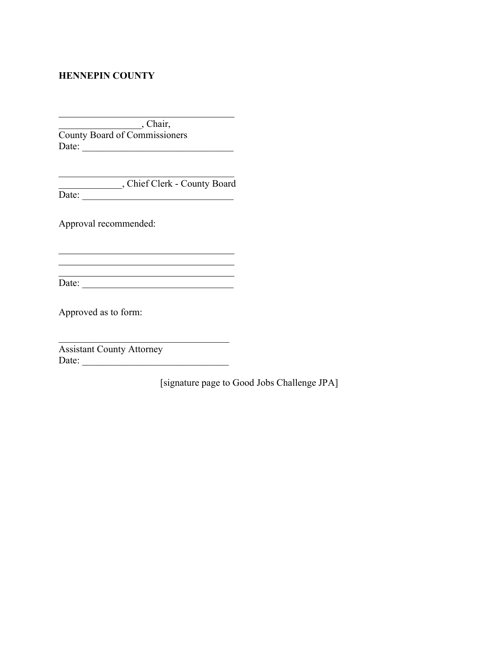#### HENNEPIN COUNTY

l

l

\_\_\_\_\_\_\_\_\_\_\_\_\_\_\_\_\_, Chair, County Board of Commissioners Date: \_\_\_\_\_\_\_\_\_\_\_\_\_\_\_\_\_\_\_\_\_\_\_\_\_\_\_\_\_\_\_

\_\_\_\_\_\_\_\_\_\_\_\_\_, Chief Clerk - County Board Date: \_\_\_\_\_\_\_\_\_\_\_\_\_\_\_\_\_\_\_\_\_\_\_\_\_\_\_\_\_\_\_

Approval recommended:

Date: \_\_\_\_\_\_\_\_\_\_\_\_\_\_\_\_\_\_\_\_\_\_\_\_\_\_\_\_\_\_\_

Approved as to form:

Assistant County Attorney Date: \_\_\_\_\_\_\_\_\_\_\_\_\_\_\_\_\_\_\_\_\_\_\_\_\_\_\_\_\_\_

[signature page to Good Jobs Challenge JPA]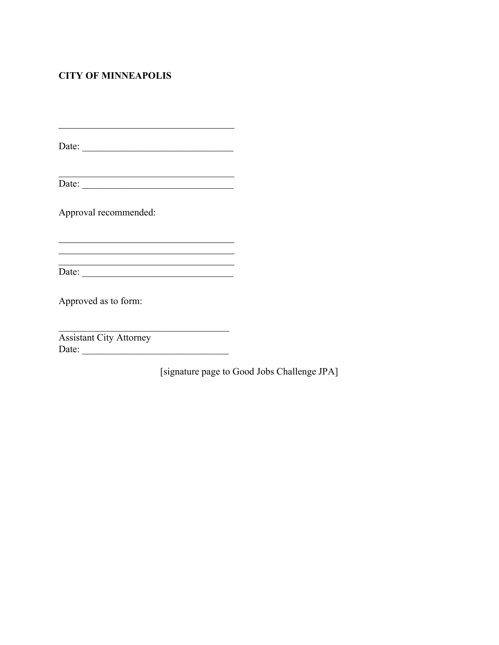# CITY OF MINNEAPOLIS

l

l

Date: \_\_\_\_\_\_\_\_\_\_\_\_\_\_\_\_\_\_\_\_\_\_\_\_\_\_\_\_\_\_\_

<u> 1980 - Johann Barbara, martxa alemaniar a</u>

 $Date:$ 

Approval recommended:

 $\overline{\text{Date}}$ :

<u> 1989 - Johann Barbara, martin amerikan basar da</u>

Approved as to form:

Assistant City Attorney Date: \_\_\_\_\_\_\_\_\_\_\_\_\_\_\_\_\_\_\_\_\_\_\_\_\_\_\_\_\_\_

[signature page to Good Jobs Challenge JPA]

 $\_$